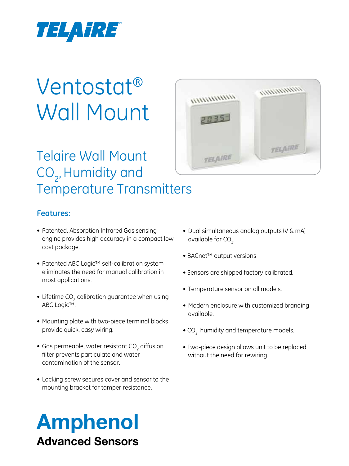

# Ventostat® Wall Mount

# Telaire Wall Mount CO<sub>2</sub>, Humidity and Temperature Transmitters



## **Features:**

- Patented, Absorption Infrared Gas sensing engine provides high accuracy in a compact low cost package.
- Patented ABC Logic<sup>™</sup> self-calibration system eliminates the need for manual calibration in most applications.
- Lifetime CO<sub>2</sub> calibration guarantee when using ABC Logic™.
- Mounting plate with two-piece terminal blocks provide quick, easy wiring.
- $\bullet$  Gas permeable, water resistant CO $_2$  diffusion filter prevents particulate and water contamination of the sensor.
- Locking screw secures cover and sensor to the mounting bracket for tamper resistance.

# Amphenol Advanced Sensors

- Dual simultaneous analog outputs (V & mA) available for  $CO<sub>2</sub>$ . .
- BACnet™ output versions
- Sensors are shipped factory calibrated.
- Temperature sensor on all models.
- Modern enclosure with customized branding available.
- $\bullet$  CO<sub>2</sub>, humidity and temperature models.
- Two-piece design allows unit to be replaced without the need for rewiring.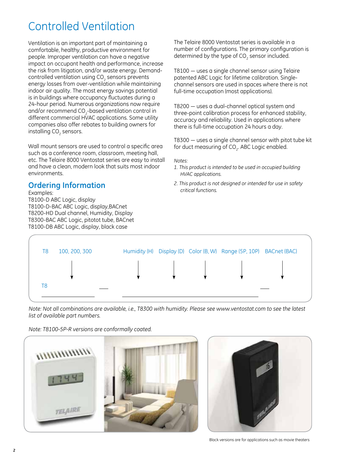## Controlled Ventilation

Ventilation is an important part of maintaining a comfortable, healthy, productive environment for people. Improper ventilation can have a negative impact on occupant health and performance, increase the risk from litigation, and/or waste energy. Demandcontrolled ventilation using  $\mathrm{CO}_2$  sensors prevents energy losses from over-ventilation while maintaining indoor air quality. The most energy savings potential is in buildings where occupancy fluctuates during a 24-hour period. Numerous organizations now require and/or recommend  $CO<sub>2</sub>$ -based ventilation control in different commercial HVAC applications. Some utility companies also offer rebates to building owners for installing CO $_{\tiny 2}$  sensors.

Wall mount sensors are used to control a specific area such as a conference room, classroom, meeting hall, etc. The Telaire 8000 Ventostat series are easy to install and have a clean, modern look that suits most indoor environments.

## **Ordering Information**<br>*critical functions. Cumpression*

Examples: T8100-D ABC Logic, display T8100-D-BAC ABC Logic, display,BACnet T8200-HD Dual channel, Humidity, Display T8300-BAC ABC Logic, pitotot tube, BACnet T8100-DB ABC Logic, display, black case

The Telaire 8000 Ventostat series is available in a number of configurations. The primary configuration is determined by the type of CO<sub>2</sub> sensor included.

T8100 — uses a single channel sensor using Telaire patented ABC Logic for lifetime calibration. Singlechannel sensors are used in spaces where there is not full-time occupation (most applications).

T8200 — uses a dual-channel optical system and three-point calibration process for enhanced stability, accuracy and reliability. Used in applications where there is full-time occupation 24 hours a day.

T8300 — uses a single channel sensor with pitot tube kit for duct measuring of CO $_{\textrm{\tiny{2}}}$ . ABC Logic enabled.

#### *Notes:*

- *1. This product is intended to be used in occupied building HVAC applications.*
- *2. This product is not designed or intended for use in safety*



*Note: Not all combinations are available, i.e., T8300 with humidity. Please see www.ventostat.com to see the latest list of available part numbers.*

*Note: T8100-5P-R versions are conformally coated.*





Black versions are for applications such as movie theaters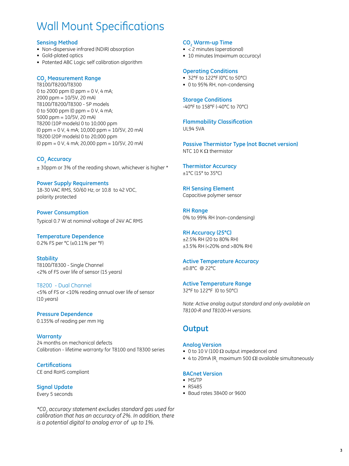## Wall Mount Specifications

#### **Sensing Method**

- Non-dispersive infrared (NDIR) absorption
- • Gold-plated optics
- Patented ABC Logic self calibration algorithm

### **CO2 Measurement Range**

T8100/T8200/T8300 0 to 2000 ppm  $(0 \text{ ppm} = 0 \text{ V}, 4 \text{ mA})$ ; 2000 ppm = 10/5V, 20 mA) T8100/T8200/T8300 - 5P models 0 to 5000 ppm (0 ppm =  $0 V$ , 4 mA; 5000 ppm = 10/5V, 20 mA) T8200 (10P models) 0 to 10,000 ppm (0 ppm = 0 V, 4 mA; 10,000 ppm = 10/5V, 20 mA) T8200 (20P models) 0 to 20,000 ppm (0 ppm = 0 V, 4 mA; 20,000 ppm = 10/5V, 20 mA)

## **CO2 Accuracy**

± 30ppm or 3% of the reading shown, whichever is higher \*

**Power Supply Requirements**  18-30 VAC RMS, 50/60 Hz, or 10.8 to 42 VDC, polarity protected

**Power Consumption**  Typical 0.7 W at nominal voltage of 24V AC RMS

**Temperature Dependence** 0.2% FS per °C (±0.11% per °F)

**Stability** T8100/T8300 - Single Channel <2% of FS over life of sensor (15 years)

T8200 - Dual Channel <5% of FS or <10% reading annual over life of sensor (10 years)

### **Pressure Dependence**

0.135% of reading per mm Hg

**Warranty** 24 months on mechanical defects Calibration - lifetime warranty for T8100 and T8300 series

**Certifications** CE and RoHS compliant

**Signal Update**  Every 5 seconds

*\*C02 accuracy statement excludes standard gas used for calibration that has an accuracy of 2%. In addition, there is a potential digital to analog error of up to 1%.*

#### **CO2 Warm-up Time**

- < 2 minutes (operational)
- 10 minutes (maximum accuracy)

#### **Operating Conditions**

- • 32°F to 122°F (0°C to 50°C)
- 0 to 95% RH, non-condensing

#### **Storage Conditions**

-40°F to 158°F (-40°C to 70°C)

**Flammability Classification** UL94 5VA

**Passive Thermistor Type (not Bacnet version)** NTC 10 K  $\Omega$  thermistor

**Thermistor Accuracy** ±1°C (15° to 35°C)

**RH Sensing Element** Capacitive polymer sensor

**RH Range** 0% to 99% RH (non-condensing)

#### **RH Accuracy (25°C)**

±2.5% RH (20 to 80% RH) ±3.5% RH (<20% and >80% RH)

**Active Temperature Accuracy** ±0.8°C @ 22°C

### **Active Temperature Range**

32°F to 122°F (0 to 50°C)

*Note: Active analog output standard and only available on T8100-R and T8100-H versions.*

## **Output**

#### **Analog Version**

- 0 to 10 V (100  $\Omega$  output impedance) and
- 4 to 20mA (R, maximum 500  $\Omega$ ) available simultaneously

#### **BACnet Version**

- MS/TP
- • RS485
- • Baud rates 38400 or 9600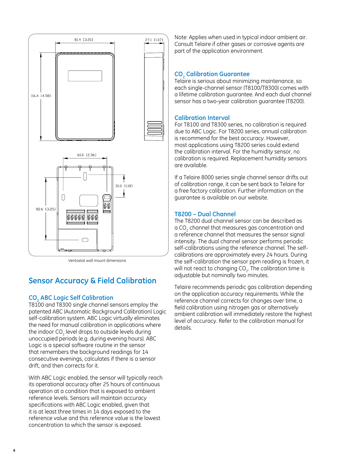

Ventostat wall mount dimensions

## **Sensor Accuracy & Field Calibration**

## **CO2 ABC Logic Self Calibration**

T8100 and T8300 single channel sensors employ the patented ABC (Automatic Background Calibration) Logic self-calibration system. ABC Logic virtually eliminates the need for manual calibration in applications where the indoor CO<sub>2</sub> level drops to outside levels during unoccupied periods (e.g. during evening hours). ABC Logic is a special software routine in the sensor that remembers the background readings for 14 consecutive evenings, calculates if there is a sensor drift, and then corrects for it.

With ABC Logic enabled, the sensor will typically reach its operational accuracy after 25 hours of continuous operation at a condition that is exposed to ambient reference levels. Sensors will maintain accuracy specifications with ABC Logic enabled, given that it is at least three times in 14 days exposed to the reference value and this reference value is the lowest concentration to which the sensor is exposed.

Note: Applies when used in typical indoor ambient air. Consult Telaire if other gases or corrosive agents are part of the application environment.

## **CO2 Calibration Guarantee**

Telaire is serious about minimizing maintenance, so each single-channel sensor (T8100/T8300) comes with a lifetime calibration guarantee. And each dual channel sensor has a two-year calibration guarantee (T8200).

### **Calibration Interval**

For T8100 and T8300 series, no calibration is required due to ABC Logic. For T8200 series, annual calibration is recommend for the best accuracy. However, most applications using T8200 series could extend the calibration interval. For the humidity sensor, no calibration is required. Replacement humidity sensors are available.

If a Telaire 8000 series single channel sensor drifts out of calibration range, it can be sent back to Telaire for a free factory calibration. Further information on the guarantee is available on our website.

## **T8200 – Dual Channel**

The T8200 dual channel sensor can be described as a CO<sub>2</sub> channel that measures gas concentration and a reference channel that measures the sensor signal intensity. The dual channel sensor performs periodic self-calibrations using the reference channel. The selfcalibrations are approximately every 24 hours. During the self-calibration the sensor ppm reading is frozen, it will not react to changing CO $_{_2}$ . The calibration time is adjustable but nominally two minutes.

Telaire recommends periodic gas calibration depending on the application accuracy requirements. While the reference channel corrects for changes over time, a field calibration using nitrogen gas or alternatively ambient calibration will immediately restore the highest level of accuracy. Refer to the calibration manual for details.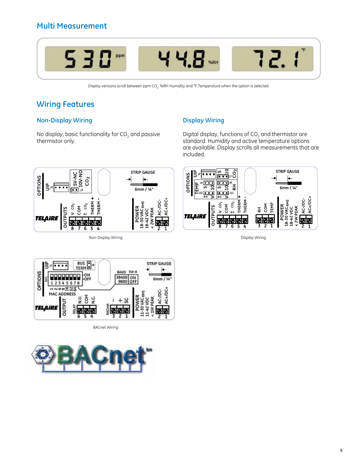

Display versions scroll between ppm CO $_{\tiny 2}$ , %RH Humidity and °F Temperature when the option is selected.

## **Wiring Features**

## **Non-Display Wiring**

No display, basic functionality for CO $_{\rm 2}$  and passive thermistor only.

## **Display Wiring**

Digital display, functions of  $CO<sub>2</sub>$  and thermistor are standard. Humidity and active temperature options are available. Display scrolls all measurements that are included.



Non-Display Wiring



Display Wiring



BACnet Wiring

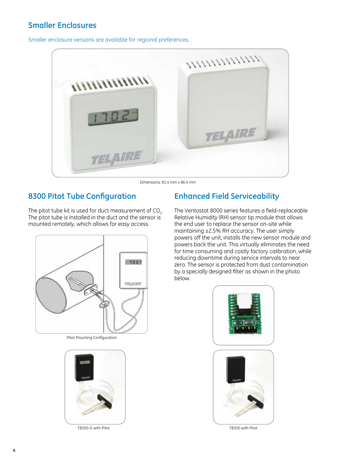## **Smaller Enclosures**

Smaller enclosure versions are available for regional preferences.



Dimensions: 81.4 mm x 86.4 mm

## **8300 Pitot Tube Configuration**

The pitot tube kit is used for duct measurement of CO<sub>2</sub>. The pitot tube is installed in the duct and the sensor is mounted remotely, which allows for easy access.



Pitot Mounting Configuration



T8300-D with Pitot T8300 with Pitot

## **Enhanced Field Serviceability**

The Ventostat 8000 series features a field-replaceable Relative Humidity (RH) sensor tip module that allows the end user to replace the sensor on-site while maintaining ±2.5% RH accuracy. The user simply powers off the unit, installs the new sensor module and powers back the unit. This virtually eliminates the need for time consuming and costly factory calibration, while reducing downtime during service intervals to near zero. The sensor is protected from dust contamination by a specially designed filter as shown in the photo below.

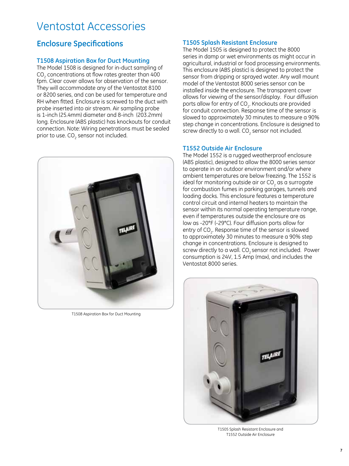## Ventostat Accessories

## **Enclosure Specifications**

#### **T1508 Aspiration Box for Duct Mounting**

The Model 1508 is designed for in-duct sampling of CO<sub>2</sub> concentrations at flow rates greater than 400 fpm. Clear cover allows for observation of the sensor. They will accommodate any of the Ventostat 8100 or 8200 series, and can be used for temperature and RH when fitted. Enclosure is screwed to the duct with probe inserted into air stream. Air sampling probe is 1-inch (25.4mm) diameter and 8-inch (203.2mm) long. Enclosure (ABS plastic) has knockouts for conduit connection. Note: Wiring penetrations must be sealed prior to use. CO<sub>2</sub> sensor not included.



T1508 Aspiration Box for Duct Mounting

#### **T1505 Splash Resistant Enclosure**

The Model 1505 is designed to protect the 8000 series in damp or wet environments as might occur in agricultural, industrial or food processing environments. This enclosure (ABS plastic) is designed to protect the sensor from dripping or sprayed water. Any wall mount model of the Ventostat 8000 series sensor can be installed inside the enclosure. The transparent cover allows for viewing of the sensor/display. Four diffusion ports allow for entry of CO $_{\textrm{\tiny{2}}}$ . Knockouts are provided for conduit connection. Response time of the sensor is slowed to approximately 30 minutes to measure a 90% step change in concentrations. Enclosure is designed to screw directly to a wall. CO<sub>2</sub> sensor not included.

#### **T1552 Outside Air Enclosure**

The Model 1552 is a rugged weatherproof enclosure (ABS plastic), designed to allow the 8000 series sensor to operate in an outdoor environment and/or where ambient temperatures are below freezing. The 1552 is ideal for monitoring outside air or CO<sub>2</sub> as a surrogate for combustion fumes in parking garages, tunnels and loading docks. This enclosure features a temperature control circuit and internal heaters to maintain the sensor within its normal operating temperature range, even if temperatures outside the enclosure are as low as -20°F (-29°C). Four diffusion ports allow for entry of CO $_{\textrm{\tiny{2}}}$ . Response time of the sensor is slowed to approximately 30 minutes to measure a 90% step change in concentrations. Enclosure is designed to screw directly to a wall. CO<sub>2</sub> sensor not included. Power consumption is 24V, 1.5 Amp (max), and includes the Ventostat 8000 series.



T1505 Splash Resistant Enclosure and T1552 Outside Air Enclosure